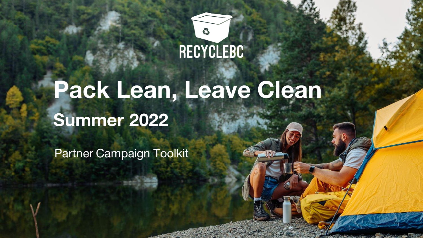

# **Pack Lean, Leave Clean Summer 2022**

Partner Campaign Toolkit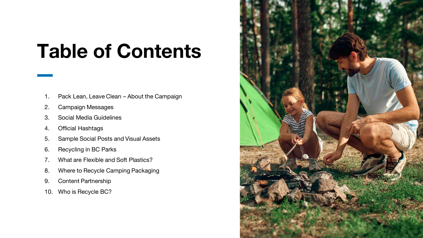## **Table of Contents**

- 1. Pack Lean, Leave Clean About the Campaign
- 2. Campaign Messages
- 3. Social Media Guidelines
- 4. Official Hashtags
- 5. Sample Social Posts and Visual Assets
- 6. Recycling in BC Parks
- 7. What are Flexible and Soft Plastics?
- 8. Where to Recycle Camping Packaging
- 9. Content Partnership
- 10. Who is Recycle BC?

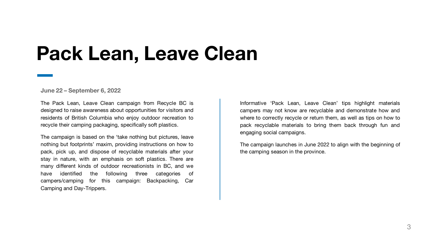## **Pack Lean, Leave Clean**

**June 22 – September 6, 2022**

The Pack Lean, Leave Clean campaign from Recycle BC is designed to raise awareness about opportunities for visitors and residents of British Columbia who enjoy outdoor recreation to recycle their camping packaging, specifically soft plastics.

The campaign is based on the 'take nothing but pictures, leave nothing but footprints' maxim, providing instructions on how to pack, pick up, and dispose of recyclable materials after your stay in nature, with an emphasis on soft plastics. There are many different kinds of outdoor recreationists in BC, and we have identified the following three categories of campers/camping for this campaign: Backpacking, Car Camping and Day-Trippers.

Informative 'Pack Lean, Leave Clean' tips highlight materials campers may not know are recyclable and demonstrate how and where to correctly recycle or return them, as well as tips on how to pack recyclable materials to bring them back through fun and engaging social campaigns.

The campaign launches in June 2022 to align with the beginning of the camping season in the province.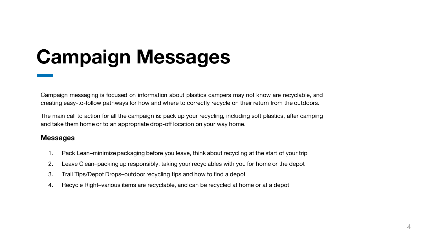# **Campaign Messages**

Campaign messaging is focused on information about plastics campers may not know are recyclable, and creating easy-to-follow pathways for how and where to correctly recycle on their return from the outdoors.

The main call to action for all the campaign is: pack up your recycling, including soft plastics, after camping and take them home or to an appropriate drop-off location on your way home.

### **Messages**

- 1. Pack Lean–minimize packaging before you leave, think about recycling at the start of your trip
- 2. Leave Clean–packing up responsibly, taking your recyclables with you for home or the depot
- 3. Trail Tips/Depot Drops–outdoor recycling tips and how to find a depot
- 4. Recycle Right–various items are recyclable, and can be recycled at home or at a depot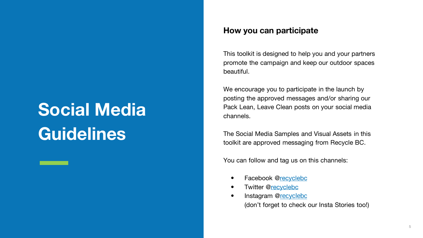## **Social Media Guidelines**

### **How you can participate**

This toolkit is designed to help you and your partners promote the campaign and keep our outdoor spaces beautiful.

We encourage you to participate in the launch by posting the approved messages and/or sharing our Pack Lean, Leave Clean posts on your social media channels.

The Social Media Samples and Visual Assets in this toolkit are approved messaging from Recycle BC.

You can follow and tag us on this channels:

- Facebook [@recyclebc](https://www.facebook.com/recyclebc/)
- Twitter [@recyclebc](https://twitter.com/recyclebc)
- Instagram @[recyclebc](https://instagram.com/recyclebc) (don't forget to check our Insta Stories too!)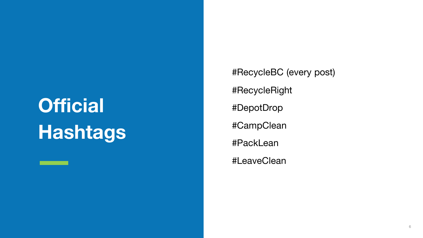# **Official Hashtags**

#RecycleBC (every post) #RecycleRight #DepotDrop #CampClean #PackLean #LeaveClean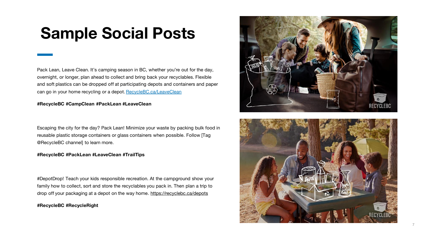### **Sample Social Posts**

Pack Lean, Leave Clean. It's camping season in BC, whether you're out for the day, overnight, or longer, plan ahead to collect and bring back your recyclables. Flexible and soft plastics can be dropped off at participating depots and containers and paper can go in your home recycling or a depot. [RecycleBC.ca/LeaveClean](http://www.recyclebc.ca/LeaveClean)

### **#RecycleBC #CampClean #PackLean #LeaveClean**

Escaping the city for the day? Pack Lean! Minimize your waste by packing bulk food in reusable plastic storage containers or glass containers when possible. Follow [Tag @RecycleBC channel] to learn more.

#### **#RecycleBC #PackLean #LeaveClean #TrailTips**

#DepotDrop! Teach your kids responsible recreation. At the campground show your family how to collect, sort and store the recyclables you pack in. Then plan a trip to drop off your packaging at a depot on the way home. [https://recyclebc.ca/depots](https://recyclebc.ca/where-to-recycle/find-depot/)

### **#RecycleBC #RecycleRight**



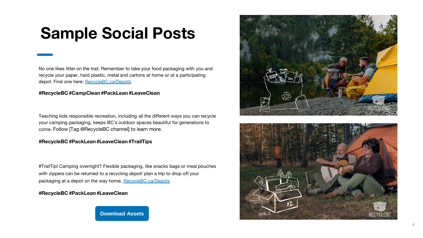### **Sample Social Posts**

No one likes litter on the trail. Remember to take your food packaging with you and recycle your paper, hard plastic, metal and cartons at home or at a participating depot. Find one here: [RecycleBC.ca/Depots](https://recyclebc.ca/depots)

### **#RecycleBC #CampClean #PackLean #LeaveClean**

Teaching kids responsible recreation, including all the different ways you can recycle your camping packaging, keeps BC's outdoor spaces beautiful for generations to come. Follow [Tag @RecycleBC channel] to learn more.

### **#RecycleBC #PackLean #LeaveClean #TrailTips**

#TrailTip! Camping overnight? Flexible packaging, like snacks bags or meal pouches with zippers can be returned to a recycling depot! plan a trip to drop off your packaging at a depot on the way home. [RecycleBC.ca/Depots](http://www.recyclebc.ca/depots)

### **#RecycleBC #PackLean #LeaveClean**

**[Download Assets](https://www.dropbox.com/sh/xu7xxq3g9zlqpp6/AAC1-vW-sDodM_mO7CvqDTasa?dl=0)**



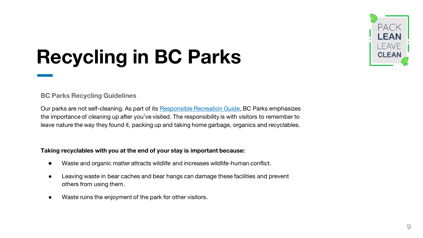

# **Recycling in BC Parks**

### **BC Parks Recycling Guidelines**

Our parks are not self-cleaning. As part of its [Responsible Recreation Guide](https://bcparks.ca/visiting/responsible-recreation/), BC Parks emphasizes the importance of cleaning up after you've visited. The responsibility is with visitors to remember to leave nature the way they found it, packing up and taking home garbage, organics and recyclables.

### **Taking recyclables with you at the end of your stay is important because:**

- Waste and organic matter attracts wildlife and increases wildlife-human conflict.
- Leaving waste in bear caches and bear hangs can damage these facilities and prevent others from using them.
- Waste ruins the enjoyment of the park for other visitors.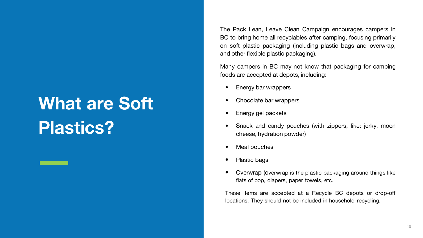## **What are Soft Plastics?**

The Pack Lean, Leave Clean Campaign encourages campers in BC to bring home all recyclables after camping, focusing primarily on soft plastic packaging (including plastic bags and overwrap, and other flexible plastic packaging).

Many campers in BC may not know that packaging for camping foods are accepted at depots, including:

- Energy bar wrappers
- Chocolate bar wrappers
- Energy gel packets
- Snack and candy pouches (with zippers, like: jerky, moon cheese, hydration powder)
- Meal pouches
- Plastic bags
- Overwrap (overwrap is the plastic packaging around things like flats of pop, diapers, paper towels, etc.

These items are accepted at a Recycle BC depots or drop-off locations. They should not be included in household recycling.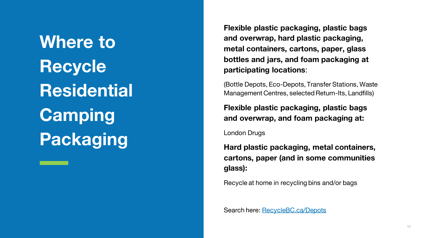**Where to Recycle Residential Camping Packaging**

**Flexible plastic packaging, plastic bags and overwrap, hard plastic packaging, metal containers, cartons, paper, glass bottles and jars, and foam packaging at participating locations**:

(Bottle Depots, Eco-Depots, Transfer Stations, Waste Management Centres, selected Return-Its, Landfills)

**Flexible plastic packaging, plastic bags and overwrap, and foam packaging at:**

London Drugs

**Hard plastic packaging, metal containers, cartons, paper (and in some communities glass):**

Recycle at home in recycling bins and/or bags

Search here: [RecycleBC.ca/Depots](https://recyclebc.ca/where-to-recycle/find-depot/)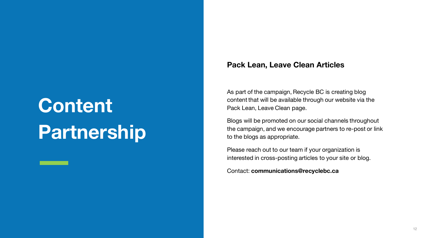# **Content Partnership**

### **Pack Lean, Leave Clean Articles**

As part of the campaign, Recycle BC is creating blog content that will be available through our website via the Pack Lean, Leave Clean page.

Blogs will be promoted on our social channels throughout the campaign, and we encourage partners to re-post or link to the blogs as appropriate.

Please reach out to our team if your organization is interested in cross-posting articles to your site or blog.

Contact: **communications@recyclebc.ca**